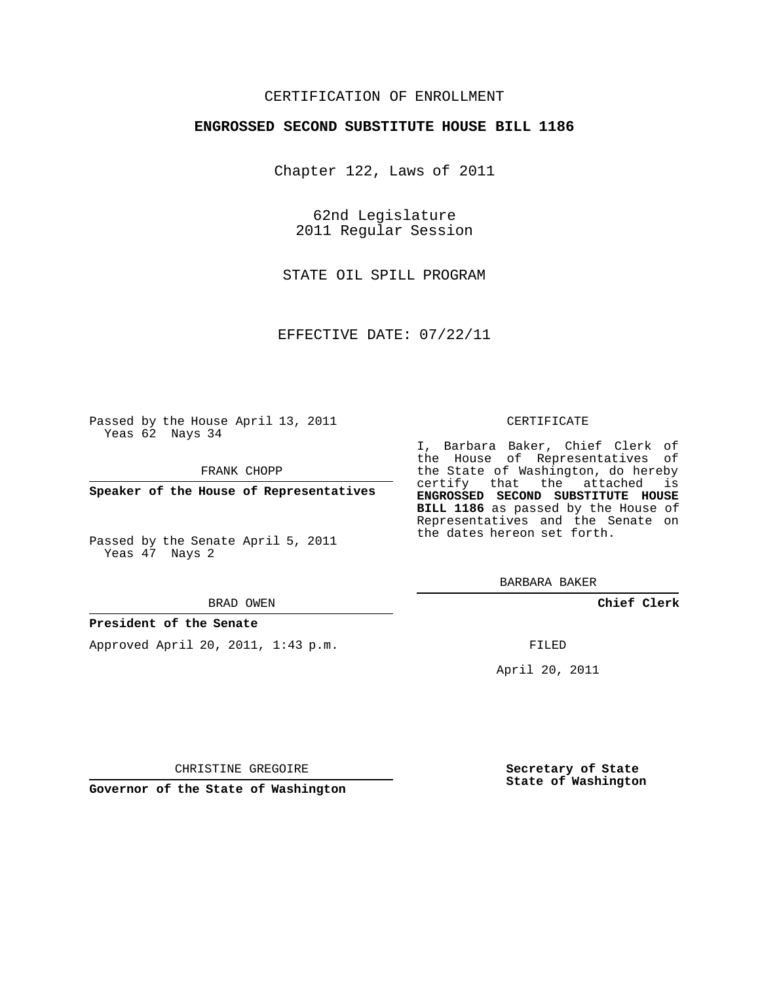## CERTIFICATION OF ENROLLMENT

## **ENGROSSED SECOND SUBSTITUTE HOUSE BILL 1186**

Chapter 122, Laws of 2011

62nd Legislature 2011 Regular Session

STATE OIL SPILL PROGRAM

EFFECTIVE DATE: 07/22/11

Passed by the House April 13, 2011 Yeas 62 Nays 34

FRANK CHOPP

**Speaker of the House of Representatives**

Passed by the Senate April 5, 2011 Yeas 47 Nays 2

#### BRAD OWEN

### **President of the Senate**

Approved April 20, 2011, 1:43 p.m.

#### CERTIFICATE

I, Barbara Baker, Chief Clerk of the House of Representatives of the State of Washington, do hereby certify that the attached is **ENGROSSED SECOND SUBSTITUTE HOUSE BILL 1186** as passed by the House of Representatives and the Senate on the dates hereon set forth.

BARBARA BAKER

**Chief Clerk**

FILED

April 20, 2011

CHRISTINE GREGOIRE

**Governor of the State of Washington**

**Secretary of State State of Washington**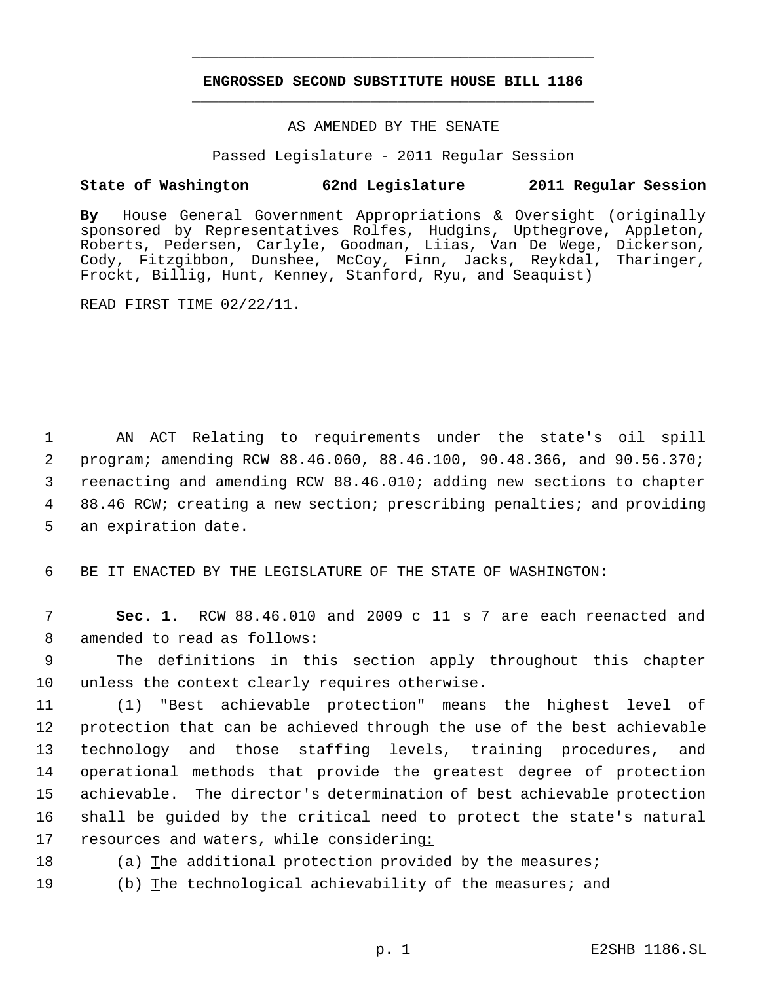# **ENGROSSED SECOND SUBSTITUTE HOUSE BILL 1186** \_\_\_\_\_\_\_\_\_\_\_\_\_\_\_\_\_\_\_\_\_\_\_\_\_\_\_\_\_\_\_\_\_\_\_\_\_\_\_\_\_\_\_\_\_

\_\_\_\_\_\_\_\_\_\_\_\_\_\_\_\_\_\_\_\_\_\_\_\_\_\_\_\_\_\_\_\_\_\_\_\_\_\_\_\_\_\_\_\_\_

## AS AMENDED BY THE SENATE

Passed Legislature - 2011 Regular Session

# **State of Washington 62nd Legislature 2011 Regular Session**

**By** House General Government Appropriations & Oversight (originally sponsored by Representatives Rolfes, Hudgins, Upthegrove, Appleton, Roberts, Pedersen, Carlyle, Goodman, Liias, Van De Wege, Dickerson, Cody, Fitzgibbon, Dunshee, McCoy, Finn, Jacks, Reykdal, Tharinger, Frockt, Billig, Hunt, Kenney, Stanford, Ryu, and Seaquist)

READ FIRST TIME 02/22/11.

 AN ACT Relating to requirements under the state's oil spill program; amending RCW 88.46.060, 88.46.100, 90.48.366, and 90.56.370; reenacting and amending RCW 88.46.010; adding new sections to chapter 88.46 RCW; creating a new section; prescribing penalties; and providing an expiration date.

6 BE IT ENACTED BY THE LEGISLATURE OF THE STATE OF WASHINGTON:

 7 **Sec. 1.** RCW 88.46.010 and 2009 c 11 s 7 are each reenacted and 8 amended to read as follows:

 9 The definitions in this section apply throughout this chapter 10 unless the context clearly requires otherwise.

 (1) "Best achievable protection" means the highest level of protection that can be achieved through the use of the best achievable technology and those staffing levels, training procedures, and operational methods that provide the greatest degree of protection achievable. The director's determination of best achievable protection shall be guided by the critical need to protect the state's natural resources and waters, while considering:

18 (a) The additional protection provided by the measures;

19 (b) The technological achievability of the measures; and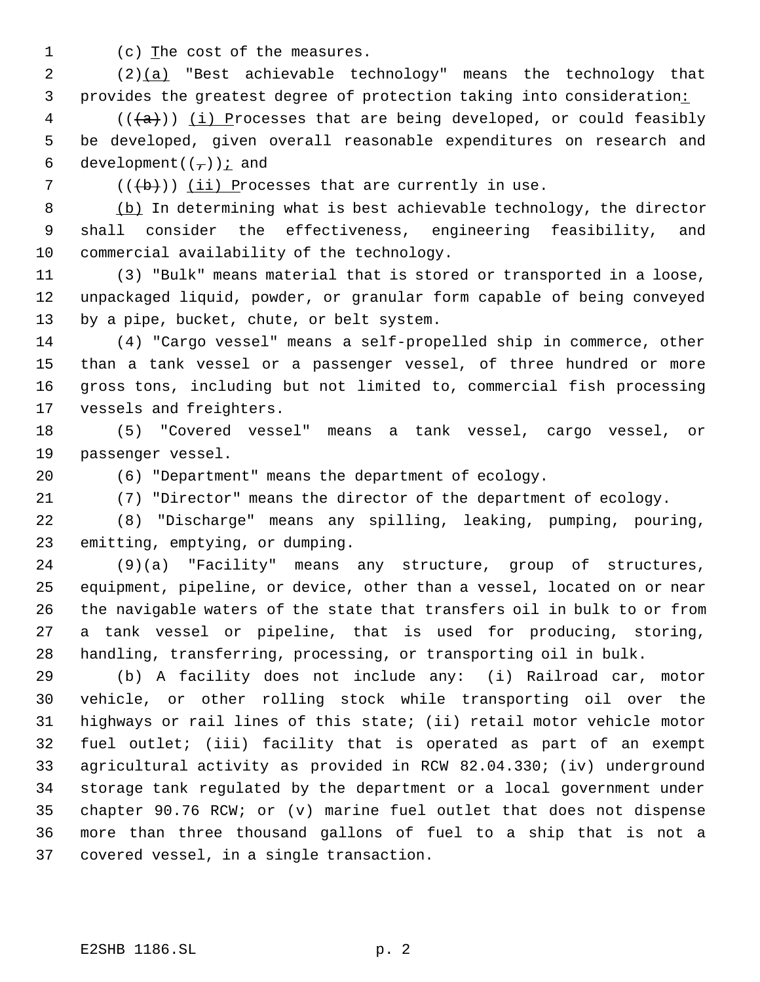1 (c) The cost of the measures.

 (2)(a) "Best achievable technology" means the technology that 3 provides the greatest degree of protection taking into consideration:

 (( $\{a\}$ )) <u>(i)</u> Processes that are being developed, or could feasibly be developed, given overall reasonable expenditures on research and 6 development( $(\tau)$ ) *i* and

(( $\overline{b}$ )) (ii) Processes that are currently in use.

 (b) In determining what is best achievable technology, the director shall consider the effectiveness, engineering feasibility, and commercial availability of the technology.

 (3) "Bulk" means material that is stored or transported in a loose, unpackaged liquid, powder, or granular form capable of being conveyed by a pipe, bucket, chute, or belt system.

 (4) "Cargo vessel" means a self-propelled ship in commerce, other than a tank vessel or a passenger vessel, of three hundred or more gross tons, including but not limited to, commercial fish processing vessels and freighters.

 (5) "Covered vessel" means a tank vessel, cargo vessel, or passenger vessel.

(6) "Department" means the department of ecology.

(7) "Director" means the director of the department of ecology.

 (8) "Discharge" means any spilling, leaking, pumping, pouring, emitting, emptying, or dumping.

 (9)(a) "Facility" means any structure, group of structures, equipment, pipeline, or device, other than a vessel, located on or near the navigable waters of the state that transfers oil in bulk to or from a tank vessel or pipeline, that is used for producing, storing, handling, transferring, processing, or transporting oil in bulk.

 (b) A facility does not include any: (i) Railroad car, motor vehicle, or other rolling stock while transporting oil over the highways or rail lines of this state; (ii) retail motor vehicle motor fuel outlet; (iii) facility that is operated as part of an exempt agricultural activity as provided in RCW 82.04.330; (iv) underground storage tank regulated by the department or a local government under chapter 90.76 RCW; or (v) marine fuel outlet that does not dispense more than three thousand gallons of fuel to a ship that is not a covered vessel, in a single transaction.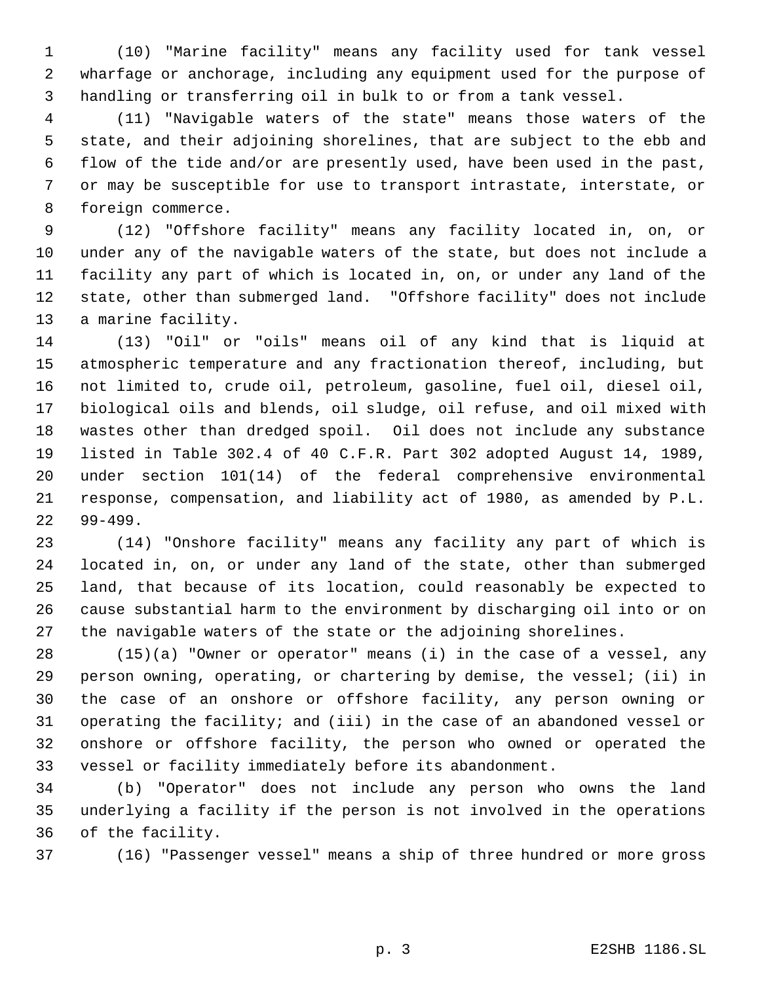(10) "Marine facility" means any facility used for tank vessel wharfage or anchorage, including any equipment used for the purpose of handling or transferring oil in bulk to or from a tank vessel.

 (11) "Navigable waters of the state" means those waters of the state, and their adjoining shorelines, that are subject to the ebb and flow of the tide and/or are presently used, have been used in the past, or may be susceptible for use to transport intrastate, interstate, or foreign commerce.

 (12) "Offshore facility" means any facility located in, on, or under any of the navigable waters of the state, but does not include a facility any part of which is located in, on, or under any land of the state, other than submerged land. "Offshore facility" does not include a marine facility.

 (13) "Oil" or "oils" means oil of any kind that is liquid at atmospheric temperature and any fractionation thereof, including, but not limited to, crude oil, petroleum, gasoline, fuel oil, diesel oil, biological oils and blends, oil sludge, oil refuse, and oil mixed with wastes other than dredged spoil. Oil does not include any substance listed in Table 302.4 of 40 C.F.R. Part 302 adopted August 14, 1989, under section 101(14) of the federal comprehensive environmental response, compensation, and liability act of 1980, as amended by P.L. 99-499.

 (14) "Onshore facility" means any facility any part of which is located in, on, or under any land of the state, other than submerged land, that because of its location, could reasonably be expected to cause substantial harm to the environment by discharging oil into or on the navigable waters of the state or the adjoining shorelines.

 (15)(a) "Owner or operator" means (i) in the case of a vessel, any person owning, operating, or chartering by demise, the vessel; (ii) in the case of an onshore or offshore facility, any person owning or operating the facility; and (iii) in the case of an abandoned vessel or onshore or offshore facility, the person who owned or operated the vessel or facility immediately before its abandonment.

 (b) "Operator" does not include any person who owns the land underlying a facility if the person is not involved in the operations of the facility.

(16) "Passenger vessel" means a ship of three hundred or more gross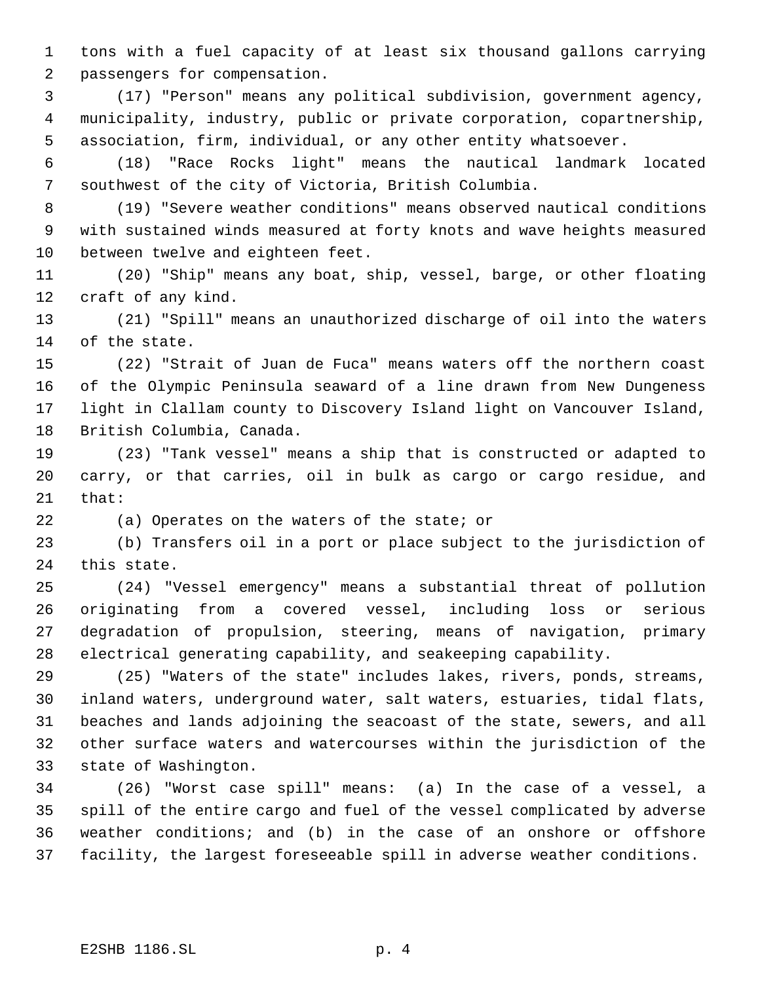tons with a fuel capacity of at least six thousand gallons carrying passengers for compensation.

 (17) "Person" means any political subdivision, government agency, municipality, industry, public or private corporation, copartnership, association, firm, individual, or any other entity whatsoever.

 (18) "Race Rocks light" means the nautical landmark located southwest of the city of Victoria, British Columbia.

 (19) "Severe weather conditions" means observed nautical conditions with sustained winds measured at forty knots and wave heights measured between twelve and eighteen feet.

 (20) "Ship" means any boat, ship, vessel, barge, or other floating craft of any kind.

 (21) "Spill" means an unauthorized discharge of oil into the waters of the state.

 (22) "Strait of Juan de Fuca" means waters off the northern coast of the Olympic Peninsula seaward of a line drawn from New Dungeness light in Clallam county to Discovery Island light on Vancouver Island, British Columbia, Canada.

 (23) "Tank vessel" means a ship that is constructed or adapted to carry, or that carries, oil in bulk as cargo or cargo residue, and that:

(a) Operates on the waters of the state; or

 (b) Transfers oil in a port or place subject to the jurisdiction of this state.

 (24) "Vessel emergency" means a substantial threat of pollution originating from a covered vessel, including loss or serious degradation of propulsion, steering, means of navigation, primary electrical generating capability, and seakeeping capability.

 (25) "Waters of the state" includes lakes, rivers, ponds, streams, inland waters, underground water, salt waters, estuaries, tidal flats, beaches and lands adjoining the seacoast of the state, sewers, and all other surface waters and watercourses within the jurisdiction of the state of Washington.

 (26) "Worst case spill" means: (a) In the case of a vessel, a spill of the entire cargo and fuel of the vessel complicated by adverse weather conditions; and (b) in the case of an onshore or offshore facility, the largest foreseeable spill in adverse weather conditions.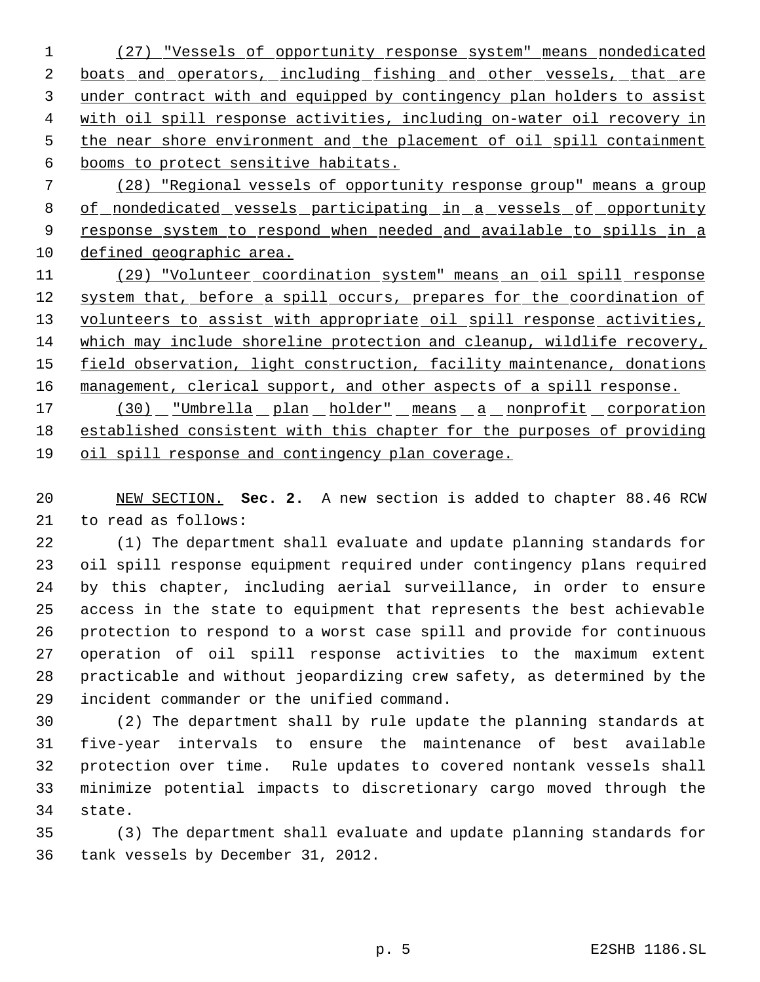(27) "Vessels of opportunity response system" means nondedicated 2 boats and operators, including fishing and other vessels, that are 3 under contract with and equipped by contingency plan holders to assist with oil spill response activities, including on-water oil recovery in 5 the near shore environment and the placement of oil spill containment booms to protect sensitive habitats. (28) "Regional vessels of opportunity response group" means a group

8 of nondedicated vessels participating in a vessels of opportunity 9 response system to respond when needed and available to spills in a defined geographic area.

 (29) "Volunteer coordination system" means an oil spill response 12 system that, before a spill occurs, prepares for the coordination of 13 volunteers to assist with appropriate oil spill response activities, which may include shoreline protection and cleanup, wildlife recovery, 15 field observation, light construction, facility maintenance, donations 16 management, clerical support, and other aspects of a spill response. 17 (30) "Umbrella plan holder" means a nonprofit corporation

 established consistent with this chapter for the purposes of providing oil spill response and contingency plan coverage.

 NEW SECTION. **Sec. 2.** A new section is added to chapter 88.46 RCW to read as follows:

 (1) The department shall evaluate and update planning standards for oil spill response equipment required under contingency plans required by this chapter, including aerial surveillance, in order to ensure access in the state to equipment that represents the best achievable protection to respond to a worst case spill and provide for continuous operation of oil spill response activities to the maximum extent practicable and without jeopardizing crew safety, as determined by the incident commander or the unified command.

 (2) The department shall by rule update the planning standards at five-year intervals to ensure the maintenance of best available protection over time. Rule updates to covered nontank vessels shall minimize potential impacts to discretionary cargo moved through the state.

 (3) The department shall evaluate and update planning standards for tank vessels by December 31, 2012.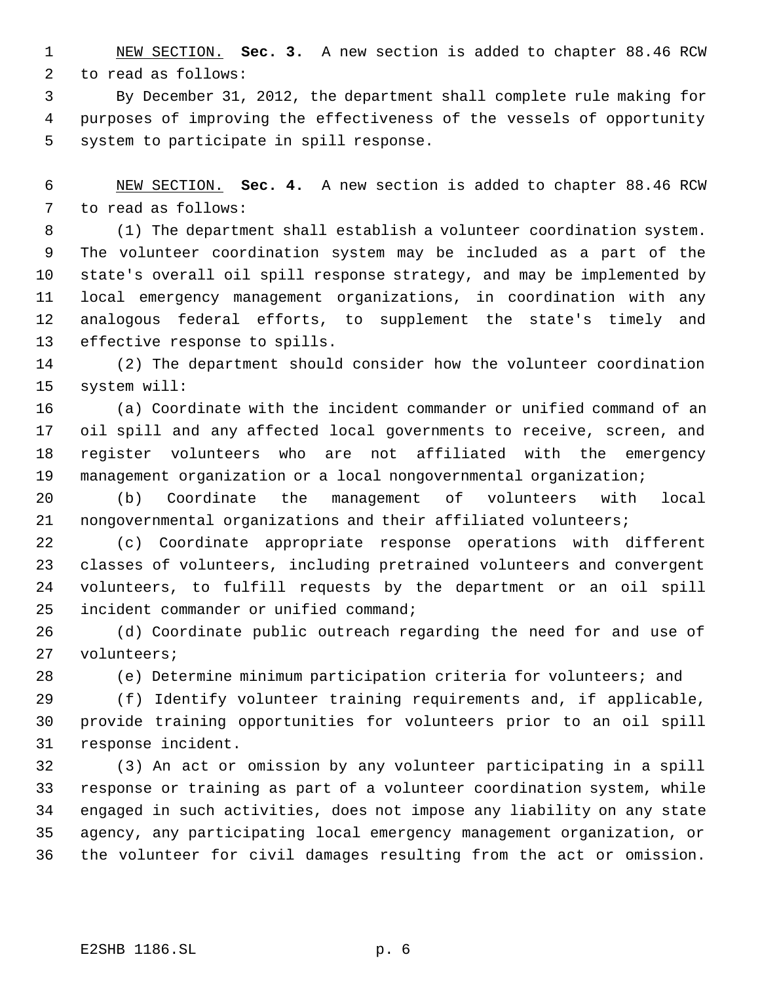NEW SECTION. **Sec. 3.** A new section is added to chapter 88.46 RCW to read as follows:

 By December 31, 2012, the department shall complete rule making for purposes of improving the effectiveness of the vessels of opportunity system to participate in spill response.

 NEW SECTION. **Sec. 4.** A new section is added to chapter 88.46 RCW to read as follows:

 (1) The department shall establish a volunteer coordination system. The volunteer coordination system may be included as a part of the state's overall oil spill response strategy, and may be implemented by local emergency management organizations, in coordination with any analogous federal efforts, to supplement the state's timely and effective response to spills.

 (2) The department should consider how the volunteer coordination system will:

 (a) Coordinate with the incident commander or unified command of an oil spill and any affected local governments to receive, screen, and register volunteers who are not affiliated with the emergency management organization or a local nongovernmental organization;

 (b) Coordinate the management of volunteers with local nongovernmental organizations and their affiliated volunteers;

 (c) Coordinate appropriate response operations with different classes of volunteers, including pretrained volunteers and convergent volunteers, to fulfill requests by the department or an oil spill incident commander or unified command;

 (d) Coordinate public outreach regarding the need for and use of volunteers;

(e) Determine minimum participation criteria for volunteers; and

 (f) Identify volunteer training requirements and, if applicable, provide training opportunities for volunteers prior to an oil spill response incident.

 (3) An act or omission by any volunteer participating in a spill response or training as part of a volunteer coordination system, while engaged in such activities, does not impose any liability on any state agency, any participating local emergency management organization, or the volunteer for civil damages resulting from the act or omission.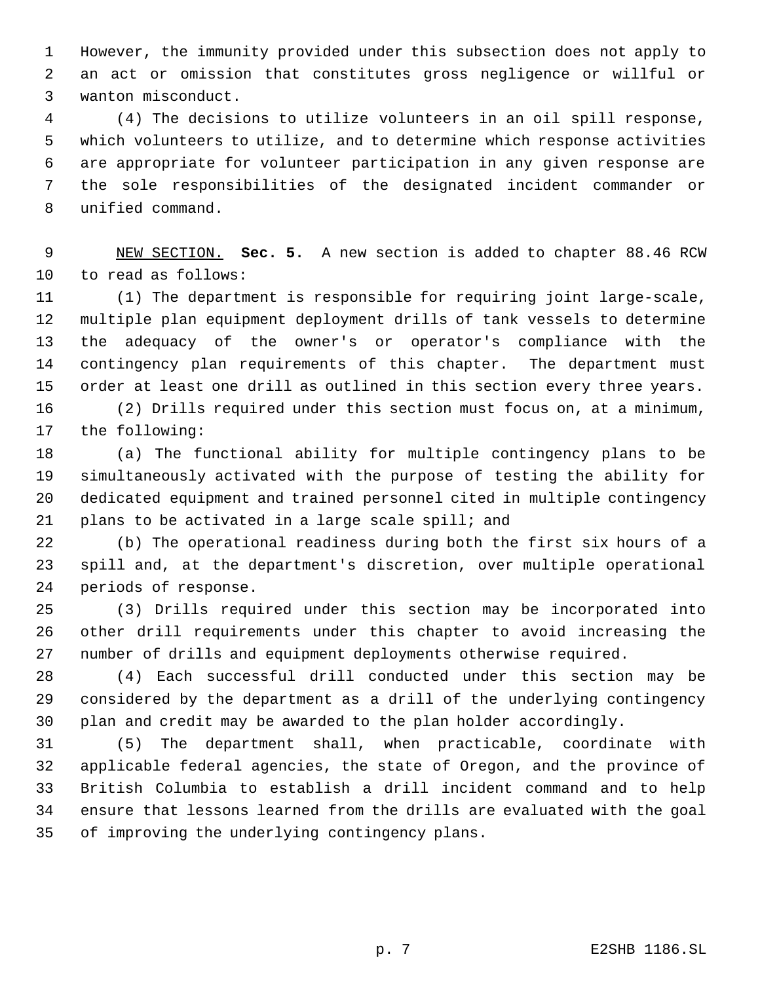However, the immunity provided under this subsection does not apply to an act or omission that constitutes gross negligence or willful or wanton misconduct.

 (4) The decisions to utilize volunteers in an oil spill response, which volunteers to utilize, and to determine which response activities are appropriate for volunteer participation in any given response are the sole responsibilities of the designated incident commander or unified command.

 NEW SECTION. **Sec. 5.** A new section is added to chapter 88.46 RCW to read as follows:

 (1) The department is responsible for requiring joint large-scale, multiple plan equipment deployment drills of tank vessels to determine the adequacy of the owner's or operator's compliance with the contingency plan requirements of this chapter. The department must order at least one drill as outlined in this section every three years.

 (2) Drills required under this section must focus on, at a minimum, the following:

 (a) The functional ability for multiple contingency plans to be simultaneously activated with the purpose of testing the ability for dedicated equipment and trained personnel cited in multiple contingency plans to be activated in a large scale spill; and

 (b) The operational readiness during both the first six hours of a spill and, at the department's discretion, over multiple operational periods of response.

 (3) Drills required under this section may be incorporated into other drill requirements under this chapter to avoid increasing the number of drills and equipment deployments otherwise required.

 (4) Each successful drill conducted under this section may be considered by the department as a drill of the underlying contingency plan and credit may be awarded to the plan holder accordingly.

 (5) The department shall, when practicable, coordinate with applicable federal agencies, the state of Oregon, and the province of British Columbia to establish a drill incident command and to help ensure that lessons learned from the drills are evaluated with the goal of improving the underlying contingency plans.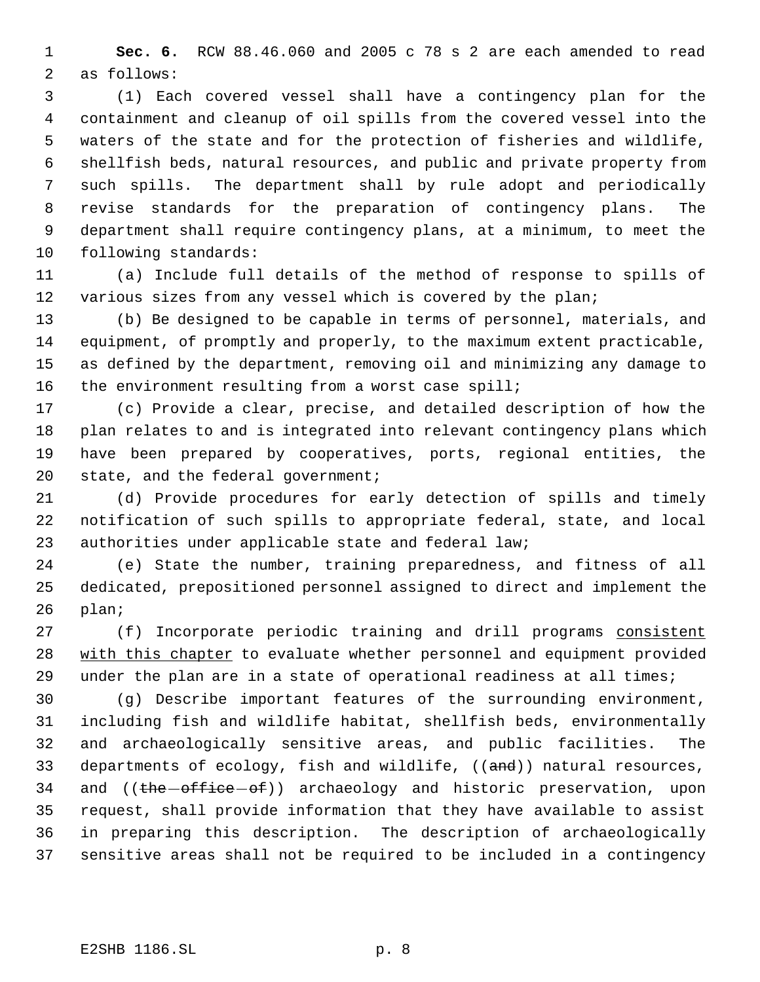**Sec. 6.** RCW 88.46.060 and 2005 c 78 s 2 are each amended to read as follows:

 (1) Each covered vessel shall have a contingency plan for the containment and cleanup of oil spills from the covered vessel into the waters of the state and for the protection of fisheries and wildlife, shellfish beds, natural resources, and public and private property from such spills. The department shall by rule adopt and periodically revise standards for the preparation of contingency plans. The department shall require contingency plans, at a minimum, to meet the following standards:

 (a) Include full details of the method of response to spills of 12 various sizes from any vessel which is covered by the plan;

 (b) Be designed to be capable in terms of personnel, materials, and equipment, of promptly and properly, to the maximum extent practicable, as defined by the department, removing oil and minimizing any damage to the environment resulting from a worst case spill;

 (c) Provide a clear, precise, and detailed description of how the plan relates to and is integrated into relevant contingency plans which have been prepared by cooperatives, ports, regional entities, the 20 state, and the federal government;

 (d) Provide procedures for early detection of spills and timely notification of such spills to appropriate federal, state, and local authorities under applicable state and federal law;

 (e) State the number, training preparedness, and fitness of all dedicated, prepositioned personnel assigned to direct and implement the plan;

27 (f) Incorporate periodic training and drill programs consistent 28 with this chapter to evaluate whether personnel and equipment provided 29 under the plan are in a state of operational readiness at all times;

 (g) Describe important features of the surrounding environment, including fish and wildlife habitat, shellfish beds, environmentally and archaeologically sensitive areas, and public facilities. The 33 departments of ecology, fish and wildlife, ((and)) natural resources, 34 and ((the office of)) archaeology and historic preservation, upon request, shall provide information that they have available to assist in preparing this description. The description of archaeologically sensitive areas shall not be required to be included in a contingency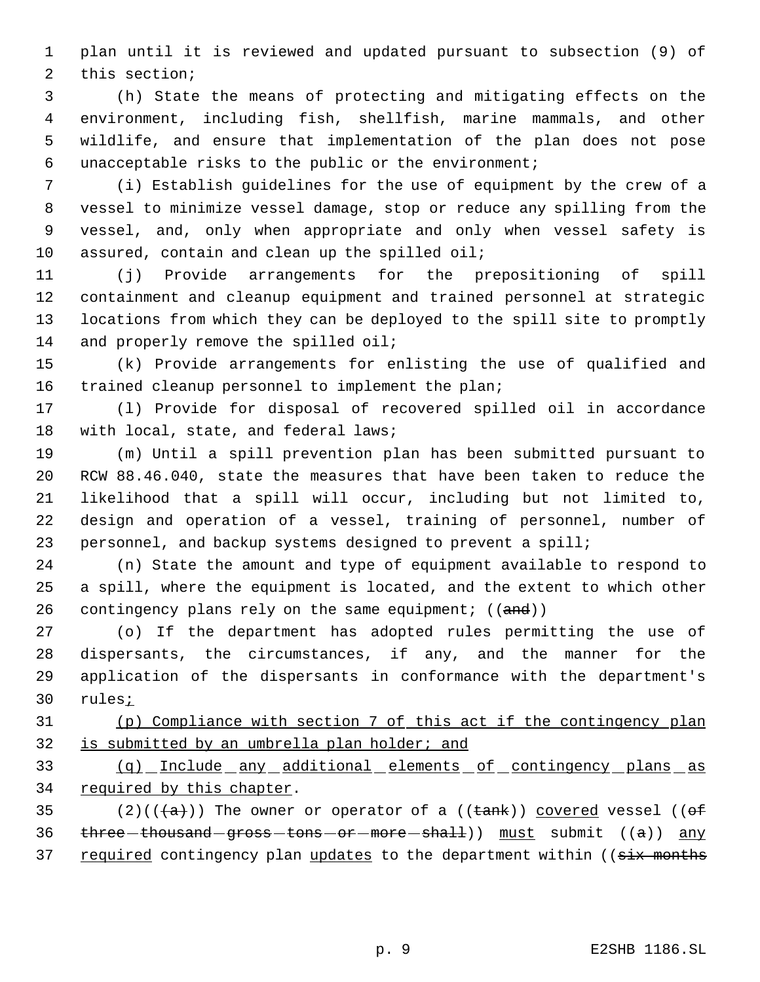plan until it is reviewed and updated pursuant to subsection (9) of this section;

 (h) State the means of protecting and mitigating effects on the environment, including fish, shellfish, marine mammals, and other wildlife, and ensure that implementation of the plan does not pose unacceptable risks to the public or the environment;

 (i) Establish guidelines for the use of equipment by the crew of a vessel to minimize vessel damage, stop or reduce any spilling from the vessel, and, only when appropriate and only when vessel safety is 10 assured, contain and clean up the spilled oil;

 (j) Provide arrangements for the prepositioning of spill containment and cleanup equipment and trained personnel at strategic locations from which they can be deployed to the spill site to promptly 14 and properly remove the spilled oil;

 (k) Provide arrangements for enlisting the use of qualified and trained cleanup personnel to implement the plan;

 (l) Provide for disposal of recovered spilled oil in accordance 18 with local, state, and federal laws;

 (m) Until a spill prevention plan has been submitted pursuant to RCW 88.46.040, state the measures that have been taken to reduce the likelihood that a spill will occur, including but not limited to, design and operation of a vessel, training of personnel, number of personnel, and backup systems designed to prevent a spill;

 (n) State the amount and type of equipment available to respond to a spill, where the equipment is located, and the extent to which other 26 contingency plans rely on the same equipment;  $((and))$ 

 (o) If the department has adopted rules permitting the use of dispersants, the circumstances, if any, and the manner for the application of the dispersants in conformance with the department's rules;

 (p) Compliance with section 7 of this act if the contingency plan is submitted by an umbrella plan holder; and

 (q) Include any additional elements of contingency plans as 34 required by this chapter.

35 (2)(( $\frac{1}{a}$ )) The owner or operator of a (( $\frac{1}{2}$ ) covered vessel (( $\frac{1}{a}$ ) 36  $three-thousand-gross-tons-or-more-shall)$  must submit  $((a))$  any 37 required contingency plan updates to the department within ((six months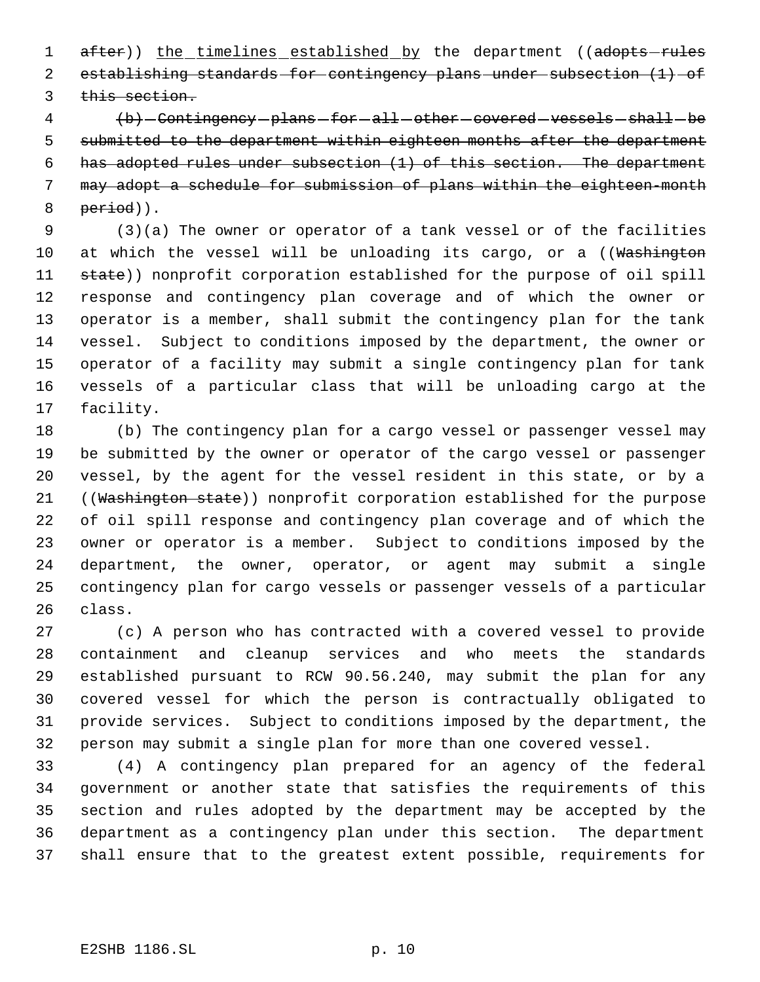1 after)) the timelines established by the department ((adopts-rules establishing standards for contingency plans under subsection (1) of 3 this section.

4 (b) - Contingency - plans - for - all - other - covered - vessels - shall - be 5 submitted to the department within eighteen months after the department has adopted rules under subsection (1) of this section. The department may adopt a schedule for submission of plans within the eighteen-month period)).

 (3)(a) The owner or operator of a tank vessel or of the facilities 10 at which the vessel will be unloading its cargo, or a ((Washington 11 state)) nonprofit corporation established for the purpose of oil spill response and contingency plan coverage and of which the owner or operator is a member, shall submit the contingency plan for the tank vessel. Subject to conditions imposed by the department, the owner or operator of a facility may submit a single contingency plan for tank vessels of a particular class that will be unloading cargo at the facility.

 (b) The contingency plan for a cargo vessel or passenger vessel may be submitted by the owner or operator of the cargo vessel or passenger vessel, by the agent for the vessel resident in this state, or by a 21 ((Washington state)) nonprofit corporation established for the purpose of oil spill response and contingency plan coverage and of which the owner or operator is a member. Subject to conditions imposed by the department, the owner, operator, or agent may submit a single contingency plan for cargo vessels or passenger vessels of a particular class.

 (c) A person who has contracted with a covered vessel to provide containment and cleanup services and who meets the standards established pursuant to RCW 90.56.240, may submit the plan for any covered vessel for which the person is contractually obligated to provide services. Subject to conditions imposed by the department, the person may submit a single plan for more than one covered vessel.

 (4) A contingency plan prepared for an agency of the federal government or another state that satisfies the requirements of this section and rules adopted by the department may be accepted by the department as a contingency plan under this section. The department shall ensure that to the greatest extent possible, requirements for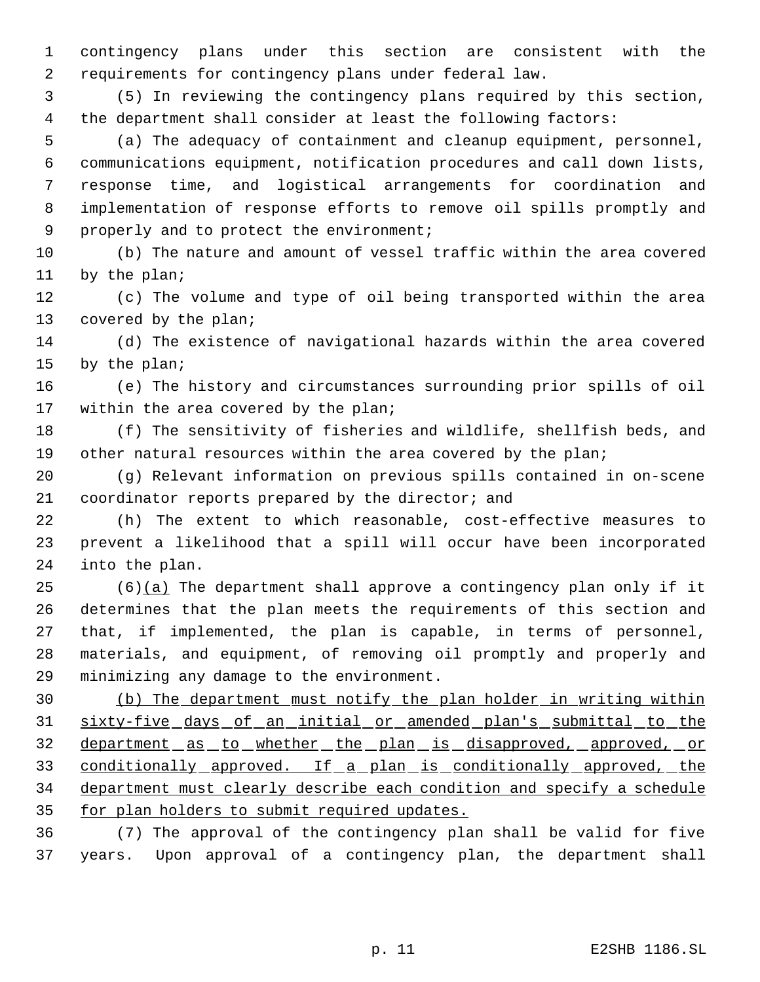contingency plans under this section are consistent with the requirements for contingency plans under federal law.

 (5) In reviewing the contingency plans required by this section, the department shall consider at least the following factors:

 (a) The adequacy of containment and cleanup equipment, personnel, communications equipment, notification procedures and call down lists, response time, and logistical arrangements for coordination and implementation of response efforts to remove oil spills promptly and 9 properly and to protect the environment;

 (b) The nature and amount of vessel traffic within the area covered by the plan;

 (c) The volume and type of oil being transported within the area 13 covered by the plan;

 (d) The existence of navigational hazards within the area covered by the plan;

 (e) The history and circumstances surrounding prior spills of oil 17 within the area covered by the plan;

 (f) The sensitivity of fisheries and wildlife, shellfish beds, and other natural resources within the area covered by the plan;

 (g) Relevant information on previous spills contained in on-scene 21 coordinator reports prepared by the director; and

 (h) The extent to which reasonable, cost-effective measures to prevent a likelihood that a spill will occur have been incorporated into the plan.

 (6)(a) The department shall approve a contingency plan only if it determines that the plan meets the requirements of this section and that, if implemented, the plan is capable, in terms of personnel, materials, and equipment, of removing oil promptly and properly and minimizing any damage to the environment.

 (b) The department must notify the plan holder in writing within sixty-five days of an initial or amended plan's submittal to the 32 department as to whether the plan is disapproved, approved, or 33 conditionally approved. If a plan is conditionally approved, the department must clearly describe each condition and specify a schedule 35 for plan holders to submit required updates.

 (7) The approval of the contingency plan shall be valid for five years. Upon approval of a contingency plan, the department shall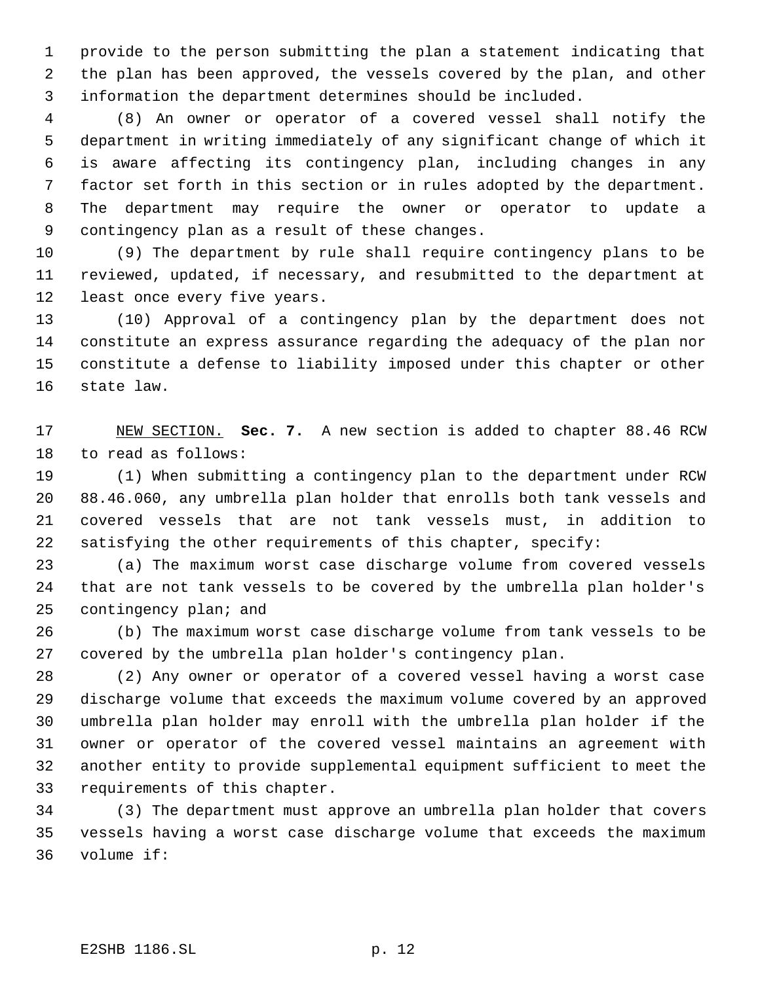provide to the person submitting the plan a statement indicating that the plan has been approved, the vessels covered by the plan, and other information the department determines should be included.

 (8) An owner or operator of a covered vessel shall notify the department in writing immediately of any significant change of which it is aware affecting its contingency plan, including changes in any factor set forth in this section or in rules adopted by the department. The department may require the owner or operator to update a contingency plan as a result of these changes.

 (9) The department by rule shall require contingency plans to be reviewed, updated, if necessary, and resubmitted to the department at least once every five years.

 (10) Approval of a contingency plan by the department does not constitute an express assurance regarding the adequacy of the plan nor constitute a defense to liability imposed under this chapter or other state law.

 NEW SECTION. **Sec. 7.** A new section is added to chapter 88.46 RCW to read as follows:

 (1) When submitting a contingency plan to the department under RCW 88.46.060, any umbrella plan holder that enrolls both tank vessels and covered vessels that are not tank vessels must, in addition to satisfying the other requirements of this chapter, specify:

 (a) The maximum worst case discharge volume from covered vessels that are not tank vessels to be covered by the umbrella plan holder's contingency plan; and

 (b) The maximum worst case discharge volume from tank vessels to be covered by the umbrella plan holder's contingency plan.

 (2) Any owner or operator of a covered vessel having a worst case discharge volume that exceeds the maximum volume covered by an approved umbrella plan holder may enroll with the umbrella plan holder if the owner or operator of the covered vessel maintains an agreement with another entity to provide supplemental equipment sufficient to meet the requirements of this chapter.

 (3) The department must approve an umbrella plan holder that covers vessels having a worst case discharge volume that exceeds the maximum volume if: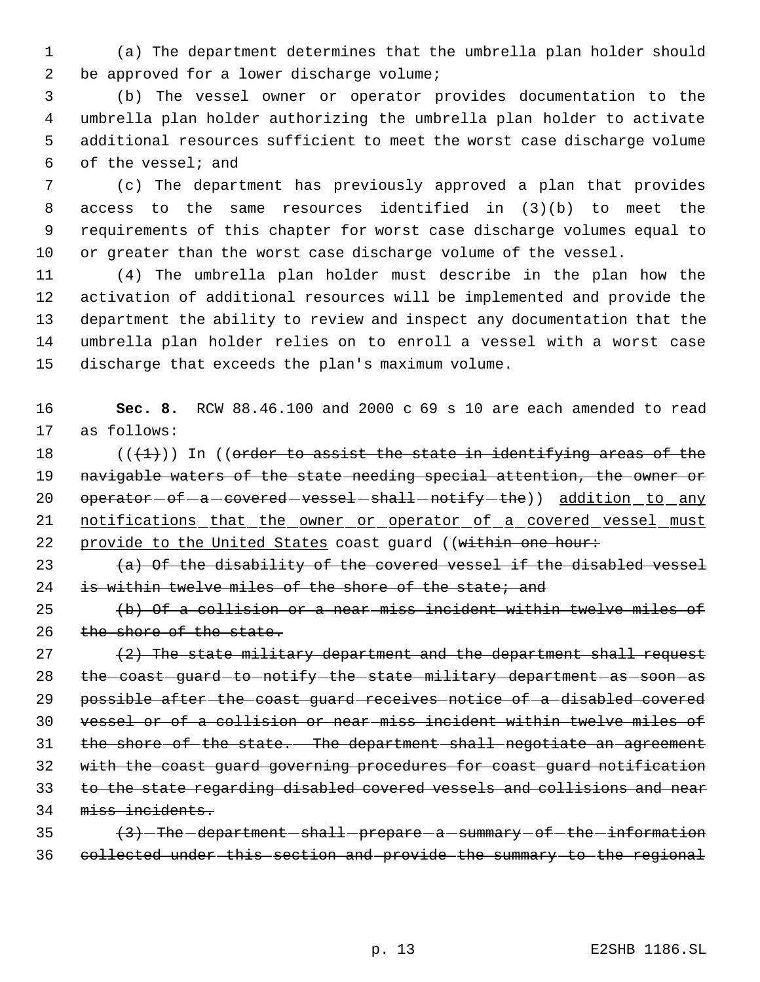(a) The department determines that the umbrella plan holder should 2 be approved for a lower discharge volume;

 (b) The vessel owner or operator provides documentation to the umbrella plan holder authorizing the umbrella plan holder to activate additional resources sufficient to meet the worst case discharge volume of the vessel; and

 (c) The department has previously approved a plan that provides access to the same resources identified in (3)(b) to meet the requirements of this chapter for worst case discharge volumes equal to or greater than the worst case discharge volume of the vessel.

 (4) The umbrella plan holder must describe in the plan how the activation of additional resources will be implemented and provide the department the ability to review and inspect any documentation that the umbrella plan holder relies on to enroll a vessel with a worst case discharge that exceeds the plan's maximum volume.

 **Sec. 8.** RCW 88.46.100 and 2000 c 69 s 10 are each amended to read as follows:

18  $((+1))$  In ((order to assist the state in identifying areas of the 19 navigable waters of the state needing special attention, the owner or 20 operator - of - a - covered - vessel - shall - notify - the) ) addition \_ to \_any 21 notifications that the owner or operator of a covered vessel must 22 provide to the United States coast guard ((within one hour:

23  $(a)$  Of the disability of the covered vessel if the disabled vessel 24 is within twelve miles of the shore of the state; and

 (b) Of a collision or a near miss incident within twelve miles of 26 the shore of the state.

  $(2)$  The state military department and the department shall request 28 the coast quard to notify the state military department as soon as possible after the coast guard receives notice of a disabled covered vessel or of a collision or near miss incident within twelve miles of the shore of the state. The department shall negotiate an agreement with the coast guard governing procedures for coast guard notification 33 to the state regarding disabled covered vessels and collisions and near miss incidents.

35 (3) The department - shall - prepare - a - summary - of - the - information collected under this section and provide the summary to the regional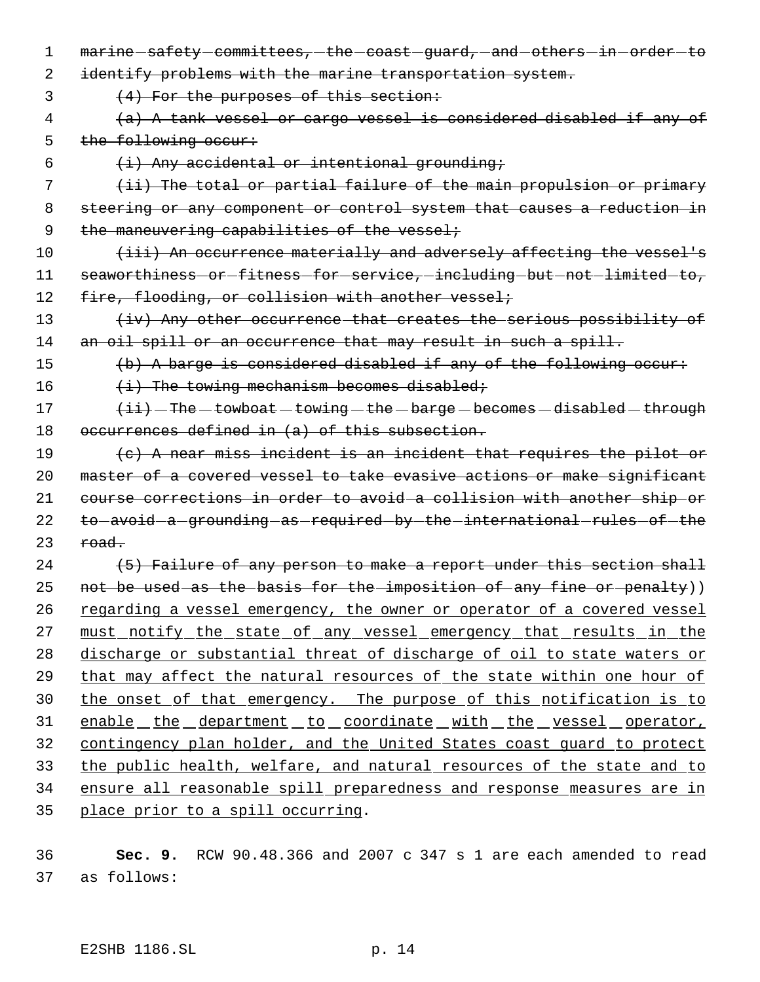- 1 marine-safety-committees,-the-coast-guard, and others in order-to 2 identify problems with the marine transportation system. 3 (4) For the purposes of this section:
- 4 (a) A tank vessel or cargo vessel is considered disabled if any of 5 the following occur:
- 6  $(i)$  Any accidental or intentional grounding;

7 (ii) The total or partial failure of the main propulsion or primary 8 steering or any component or control system that causes a reduction in 9 the maneuvering capabilities of the vessel;

10 (iii) An occurrence materially and adversely affecting the vessel's 11 seaworthiness-or-fitness-for-service,-including-but-not-limited-to, 12 fire, flooding, or collision with another vessel;

13 (iv) Any other occurrence that creates the serious possibility of 14 an oil spill or an occurrence that may result in such a spill.

15 (b) A barge is considered disabled if any of the following occur:

16  $(i)$  The towing mechanism becomes disabled;

 $17$   $\overline{\text{t}i}$   $\overline{\text{t}}$  The  $\text{t}$ owboat  $\text{t}$  towing  $\text{t}$  the  $\text{t}$  barge  $\text{t}$  becomes  $\text{t}$  disabled  $\text{t}$  through 18 occurrences defined in (a) of this subsection.

19 (c) A near miss incident is an incident that requires the pilot or 20 master of a covered vessel to take evasive actions or make significant 21 course corrections in order to avoid a collision with another ship or 22 to avoid a grounding as required by the international rules of the  $23$  road.

24 (5) Failure of any person to make a report under this section shall 25 not be used as the basis for the imposition of any fine or penalty)) 26 regarding a vessel emergency, the owner or operator of a covered vessel 27 must notify the state of any vessel emergency that results in the 28 discharge or substantial threat of discharge of oil to state waters or 29 that may affect the natural resources of the state within one hour of 30 the onset of that emergency. The purpose of this notification is to 31 enable the department to coordinate with the vessel operator, 32 contingency plan holder, and the United States coast guard to protect 33 the public health, welfare, and natural resources of the state and to 34 ensure all reasonable spill preparedness and response measures are in 35 place prior to a spill occurring.

36 **Sec. 9.** RCW 90.48.366 and 2007 c 347 s 1 are each amended to read 37 as follows: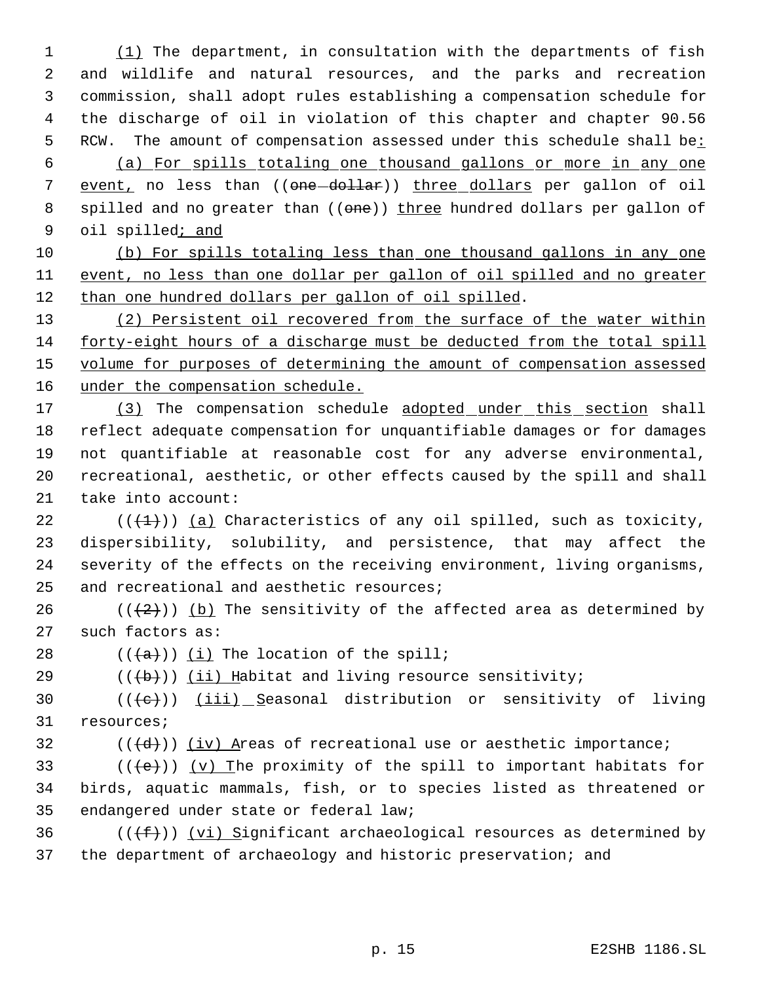1 (1) The department, in consultation with the departments of fish 2 and wildlife and natural resources, and the parks and recreation 3 commission, shall adopt rules establishing a compensation schedule for 4 the discharge of oil in violation of this chapter and chapter 90.56 5 RCW. The amount of compensation assessed under this schedule shall be: 6 (a) For spills totaling one thousand gallons or more in any one 7 event, no less than ((one-dollar)) three dollars per gallon of oil 8 spilled and no greater than ((one)) three hundred dollars per gallon of 9 oil spilled; and

10 (b) For spills totaling less than one thousand gallons in any one 11 event, no less than one dollar per gallon of oil spilled and no greater 12 than one hundred dollars per gallon of oil spilled.

13 (2) Persistent oil recovered from the surface of the water within 14 forty-eight hours of a discharge must be deducted from the total spill 15 volume for purposes of determining the amount of compensation assessed 16 under the compensation schedule.

17 (3) The compensation schedule adopted under this section shall reflect adequate compensation for unquantifiable damages or for damages not quantifiable at reasonable cost for any adverse environmental, recreational, aesthetic, or other effects caused by the spill and shall take into account:

 $((+1))$  (a) Characteristics of any oil spilled, such as toxicity, dispersibility, solubility, and persistence, that may affect the severity of the effects on the receiving environment, living organisms, and recreational and aesthetic resources;

26 ( $(\frac{2}{2})$ ) (b) The sensitivity of the affected area as determined by 27 such factors as:

28  $((+a))$   $(i)$  The location of the spill;

29  $((\{b\})$  (ii) Habitat and living resource sensitivity;

30  $((\{e\})$   $(iii)$  Seasonal distribution or sensitivity of living 31 resources;

32  $((\{d\}))(iv)$  Areas of recreational use or aesthetic importance;

33 ( $(\langle e \rangle)$ ) (v) The proximity of the spill to important habitats for 34 birds, aquatic mammals, fish, or to species listed as threatened or 35 endangered under state or federal law;

36  $((\text{#}))$  (vi) Significant archaeological resources as determined by 37 the department of archaeology and historic preservation; and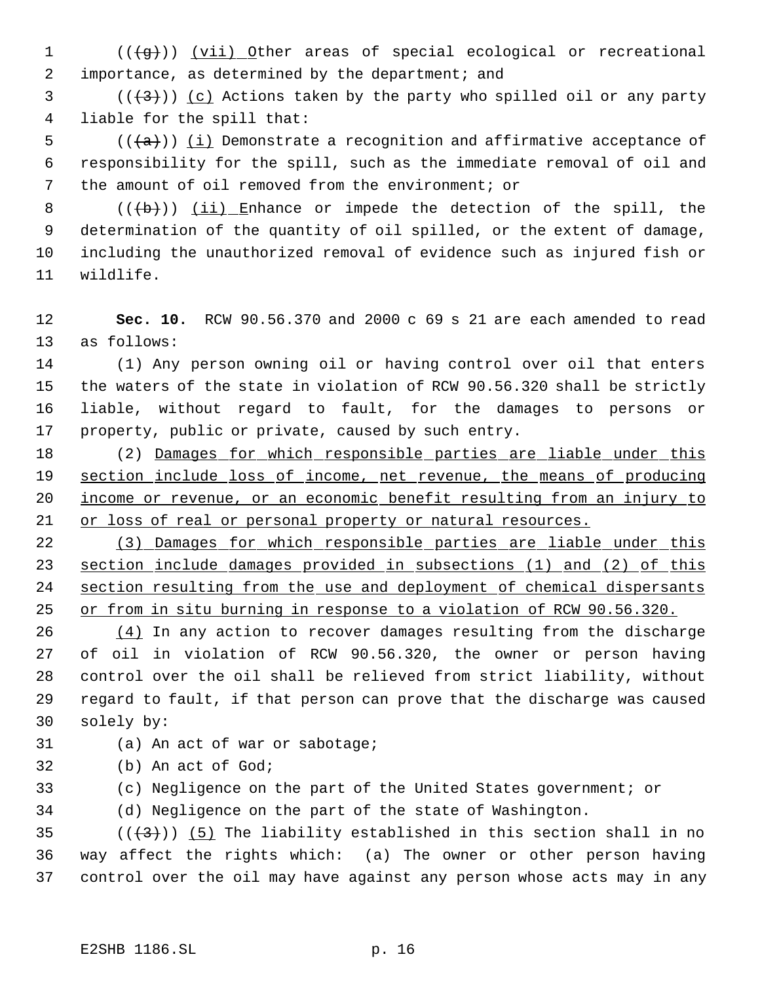- 1 (((g))) (vii) Other areas of special ecological or recreational 2 importance, as determined by the department; and
- (( $(3)$ )) (c) Actions taken by the party who spilled oil or any party liable for the spill that:
- 5 ( $(\overline{\{a\}})$ ) <u>(i)</u> Demonstrate a recognition and affirmative acceptance of responsibility for the spill, such as the immediate removal of oil and the amount of oil removed from the environment; or
- 8  $((+b))$   $(i)$  Enhance or impede the detection of the spill, the determination of the quantity of oil spilled, or the extent of damage, including the unauthorized removal of evidence such as injured fish or wildlife.
- **Sec. 10.** RCW 90.56.370 and 2000 c 69 s 21 are each amended to read as follows:
- (1) Any person owning oil or having control over oil that enters the waters of the state in violation of RCW 90.56.320 shall be strictly liable, without regard to fault, for the damages to persons or property, public or private, caused by such entry.
- 18 (2) Damages for which responsible parties are liable under this 19 section include loss of income, net revenue, the means of producing income or revenue, or an economic benefit resulting from an injury to 21 or loss of real or personal property or natural resources.
- (3) Damages for which responsible parties are liable under this section include damages provided in subsections (1) and (2) of this section resulting from the use and deployment of chemical dispersants or from in situ burning in response to a violation of RCW 90.56.320.
- $(4)$  In any action to recover damages resulting from the discharge of oil in violation of RCW 90.56.320, the owner or person having control over the oil shall be relieved from strict liability, without regard to fault, if that person can prove that the discharge was caused solely by:
- (a) An act of war or sabotage;
- (b) An act of God;
- (c) Negligence on the part of the United States government; or
- (d) Negligence on the part of the state of Washington.
- 35 ( $(\overline{\langle 3 \rangle})$  (5) The liability established in this section shall in no way affect the rights which: (a) The owner or other person having control over the oil may have against any person whose acts may in any